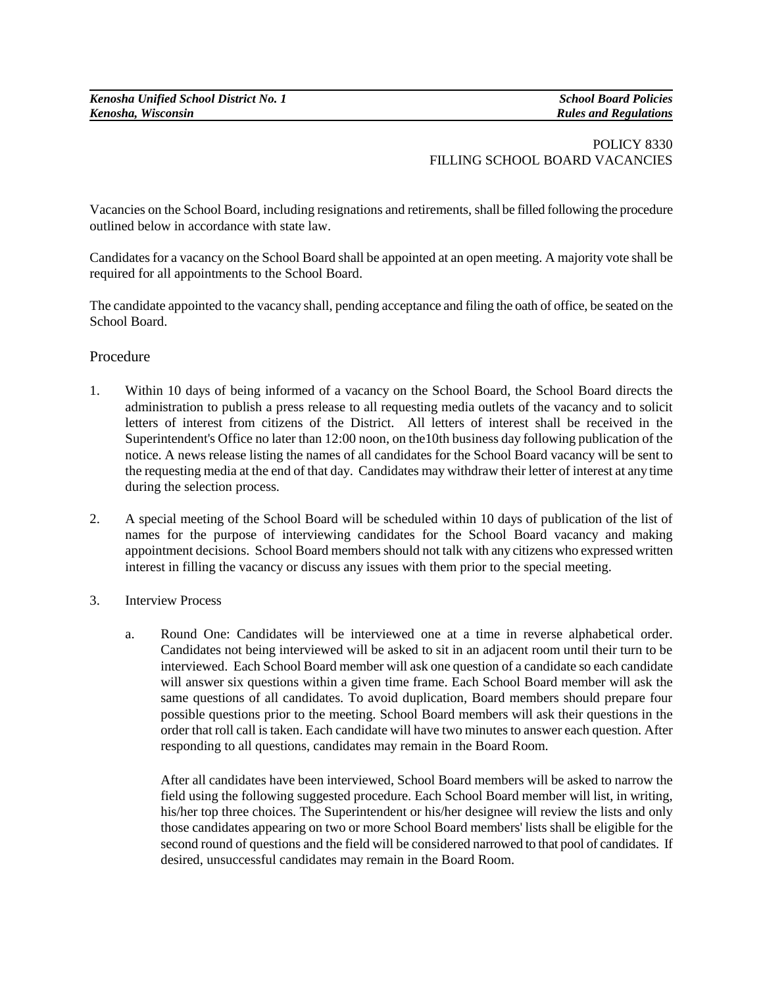## POLICY 8330 FILLING SCHOOL BOARD VACANCIES

Vacancies on the School Board, including resignations and retirements, shall be filled following the procedure outlined below in accordance with state law.

Candidates for a vacancy on the School Board shall be appointed at an open meeting. A majority vote shall be required for all appointments to the School Board.

The candidate appointed to the vacancy shall, pending acceptance and filing the oath of office, be seated on the School Board.

## Procedure

- 1. Within 10 days of being informed of a vacancy on the School Board, the School Board directs the administration to publish a press release to all requesting media outlets of the vacancy and to solicit letters of interest from citizens of the District. All letters of interest shall be received in the Superintendent's Office no later than 12:00 noon, on the10th business day following publication of the notice. A news release listing the names of all candidates for the School Board vacancy will be sent to the requesting media at the end of that day. Candidates may withdraw their letter of interest at any time during the selection process.
- 2. A special meeting of the School Board will be scheduled within 10 days of publication of the list of names for the purpose of interviewing candidates for the School Board vacancy and making appointment decisions. School Board members should not talk with any citizens who expressed written interest in filling the vacancy or discuss any issues with them prior to the special meeting.
- 3. Interview Process
	- a. Round One: Candidates will be interviewed one at a time in reverse alphabetical order. Candidates not being interviewed will be asked to sit in an adjacent room until their turn to be interviewed. Each School Board member will ask one question of a candidate so each candidate will answer six questions within a given time frame. Each School Board member will ask the same questions of all candidates. To avoid duplication, Board members should prepare four possible questions prior to the meeting. School Board members will ask their questions in the order that roll call istaken. Each candidate will have two minutes to answer each question. After responding to all questions, candidates may remain in the Board Room.

After all candidates have been interviewed, School Board members will be asked to narrow the field using the following suggested procedure. Each School Board member will list, in writing, his/her top three choices. The Superintendent or his/her designee will review the lists and only those candidates appearing on two or more School Board members' lists shall be eligible for the second round of questions and the field will be considered narrowed to that pool of candidates. If desired, unsuccessful candidates may remain in the Board Room.